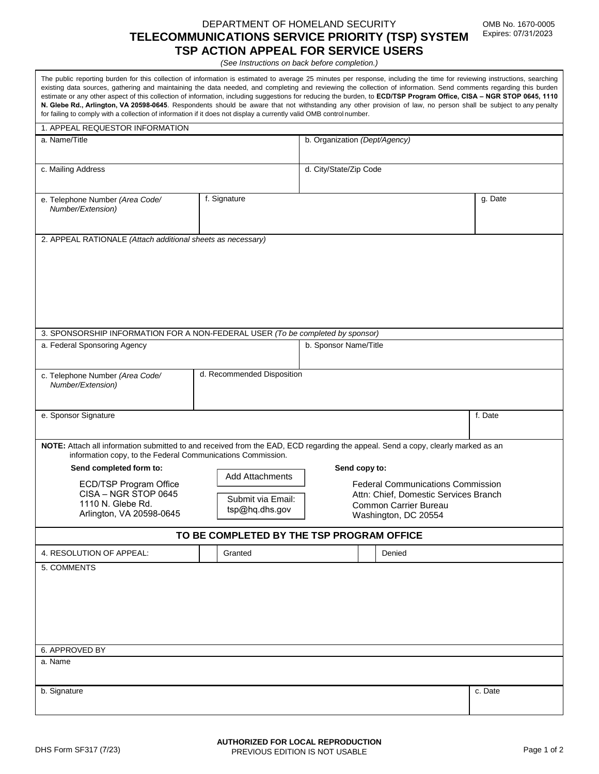## DEPARTMENT OF HOMELAND SECURITY **TELECOMMUNICATIONS SERVICE PRIORITY (TSP) SYSTEM TSP ACTION APPEAL FOR SERVICE USERS**

*(See Instructions on back before completion.)*

The public reporting burden for this collection of information is estimated to average 25 minutes per response, including the time for reviewing instructions, searching existing data sources, gathering and maintaining the data needed, and completing and reviewing the collection of information. Send comments regarding this burden estimate or any other aspect of this collection of information, including suggestions for reducing the burden, to **ECD/TSP Program Office, CISA – NGR STOP 0645, 1110 N. Glebe Rd., Arlington, VA 20598-0645**. Respondents should be aware that not withstanding any other provision of law, no person shall be subject to any penalty for failing to comply with a collection of information if it does not display a currently valid OMB control number.

| 1. APPEAL REQUESTOR INFORMATION                                                                                                                                                                 |                            |                                                                                   |  |        |         |
|-------------------------------------------------------------------------------------------------------------------------------------------------------------------------------------------------|----------------------------|-----------------------------------------------------------------------------------|--|--------|---------|
| a. Name/Title                                                                                                                                                                                   |                            | b. Organization (Dept/Agency)                                                     |  |        |         |
|                                                                                                                                                                                                 |                            |                                                                                   |  |        |         |
| c. Mailing Address                                                                                                                                                                              |                            | d. City/State/Zip Code                                                            |  |        |         |
|                                                                                                                                                                                                 |                            |                                                                                   |  |        |         |
|                                                                                                                                                                                                 | f. Signature               |                                                                                   |  |        | g. Date |
| e. Telephone Number (Area Code/<br>Number/Extension)                                                                                                                                            |                            |                                                                                   |  |        |         |
|                                                                                                                                                                                                 |                            |                                                                                   |  |        |         |
| 2. APPEAL RATIONALE (Attach additional sheets as necessary)                                                                                                                                     |                            |                                                                                   |  |        |         |
|                                                                                                                                                                                                 |                            |                                                                                   |  |        |         |
|                                                                                                                                                                                                 |                            |                                                                                   |  |        |         |
|                                                                                                                                                                                                 |                            |                                                                                   |  |        |         |
|                                                                                                                                                                                                 |                            |                                                                                   |  |        |         |
|                                                                                                                                                                                                 |                            |                                                                                   |  |        |         |
|                                                                                                                                                                                                 |                            |                                                                                   |  |        |         |
| 3. SPONSORSHIP INFORMATION FOR A NON-FEDERAL USER (To be completed by sponsor)                                                                                                                  |                            |                                                                                   |  |        |         |
| a. Federal Sponsoring Agency                                                                                                                                                                    | b. Sponsor Name/Title      |                                                                                   |  |        |         |
|                                                                                                                                                                                                 |                            |                                                                                   |  |        |         |
|                                                                                                                                                                                                 | d. Recommended Disposition |                                                                                   |  |        |         |
| c. Telephone Number (Area Code/<br>Number/Extension)                                                                                                                                            |                            |                                                                                   |  |        |         |
|                                                                                                                                                                                                 |                            |                                                                                   |  |        |         |
|                                                                                                                                                                                                 |                            |                                                                                   |  |        | f. Date |
| e. Sponsor Signature                                                                                                                                                                            |                            |                                                                                   |  |        |         |
|                                                                                                                                                                                                 |                            |                                                                                   |  |        |         |
| NOTE: Attach all information submitted to and received from the EAD, ECD regarding the appeal. Send a copy, clearly marked as an<br>information copy, to the Federal Communications Commission. |                            |                                                                                   |  |        |         |
| Send completed form to:                                                                                                                                                                         | Send copy to:              |                                                                                   |  |        |         |
|                                                                                                                                                                                                 | <b>Add Attachments</b>     | <b>Federal Communications Commission</b><br>Attn: Chief, Domestic Services Branch |  |        |         |
| ECD/TSP Program Office<br>CISA - NGR STOP 0645                                                                                                                                                  |                            |                                                                                   |  |        |         |
| 1110 N. Glebe Rd.                                                                                                                                                                               | Submit via Email:          | Common Carrier Bureau                                                             |  |        |         |
| Arlington, VA 20598-0645                                                                                                                                                                        | tsp@hq.dhs.gov             | Washington, DC 20554                                                              |  |        |         |
| TO BE COMPLETED BY THE TSP PROGRAM OFFICE                                                                                                                                                       |                            |                                                                                   |  |        |         |
|                                                                                                                                                                                                 |                            |                                                                                   |  |        |         |
| 4. RESOLUTION OF APPEAL:                                                                                                                                                                        | Granted                    |                                                                                   |  | Denied |         |
| 5. COMMENTS                                                                                                                                                                                     |                            |                                                                                   |  |        |         |
|                                                                                                                                                                                                 |                            |                                                                                   |  |        |         |
|                                                                                                                                                                                                 |                            |                                                                                   |  |        |         |
|                                                                                                                                                                                                 |                            |                                                                                   |  |        |         |
|                                                                                                                                                                                                 |                            |                                                                                   |  |        |         |
|                                                                                                                                                                                                 |                            |                                                                                   |  |        |         |
| 6. APPROVED BY                                                                                                                                                                                  |                            |                                                                                   |  |        |         |
| a. Name                                                                                                                                                                                         |                            |                                                                                   |  |        |         |
|                                                                                                                                                                                                 |                            |                                                                                   |  |        |         |
| b. Signature                                                                                                                                                                                    |                            |                                                                                   |  |        | c. Date |
|                                                                                                                                                                                                 |                            |                                                                                   |  |        |         |
|                                                                                                                                                                                                 |                            |                                                                                   |  |        |         |